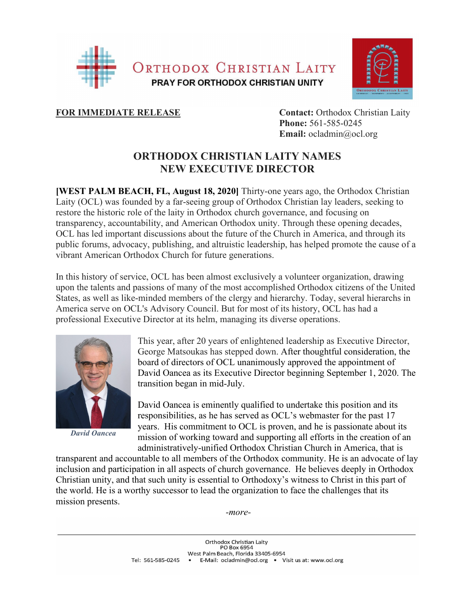



**FOR IMMEDIATE RELEASE Contact:** Orthodox Christian Laity  **Phone:** 561-585-0245 **Email:** ocladmin@ocl.org

## **ORTHODOX CHRISTIAN LAITY NAMES NEW EXECUTIVE DIRECTOR**

**[WEST PALM BEACH, FL, August 18, 2020]** Thirty-one years ago, the Orthodox Christian Laity (OCL) was founded by a far-seeing group of Orthodox Christian lay leaders, seeking to restore the historic role of the laity in Orthodox church governance, and focusing on transparency, accountability, and American Orthodox unity. Through these opening decades, OCL has led important discussions about the future of the Church in America, and through its public forums, advocacy, publishing, and altruistic leadership, has helped promote the cause of a vibrant American Orthodox Church for future generations.

In this history of service, OCL has been almost exclusively a volunteer organization, drawing upon the talents and passions of many of the most accomplished Orthodox citizens of the United States, as well as like-minded members of the clergy and hierarchy. Today, several hierarchs in America serve on OCL's Advisory Council. But for most of its history, OCL has had a professional Executive Director at its helm, managing its diverse operations.



*David Oancea*

This year, after 20 years of enlightened leadership as Executive Director, George Matsoukas has stepped down. After thoughtful consideration, the board of directors of OCL unanimously approved the appointment of David Oancea as its Executive Director beginning September 1, 2020. The transition began in mid-July.

David Oancea is eminently qualified to undertake this position and its responsibilities, as he has served as OCL's webmaster for the past 17 years. His commitment to OCL is proven, and he is passionate about its mission of working toward and supporting all efforts in the creation of an administratively-unified Orthodox Christian Church in America, that is

transparent and accountable to all members of the Orthodox community. He is an advocate of lay inclusion and participation in all aspects of church governance. He believes deeply in Orthodox Christian unity, and that such unity is essential to Orthodoxy's witness to Christ in this part of the world. He is a worthy successor to lead the organization to face the challenges that its mission presents.

*-more-*